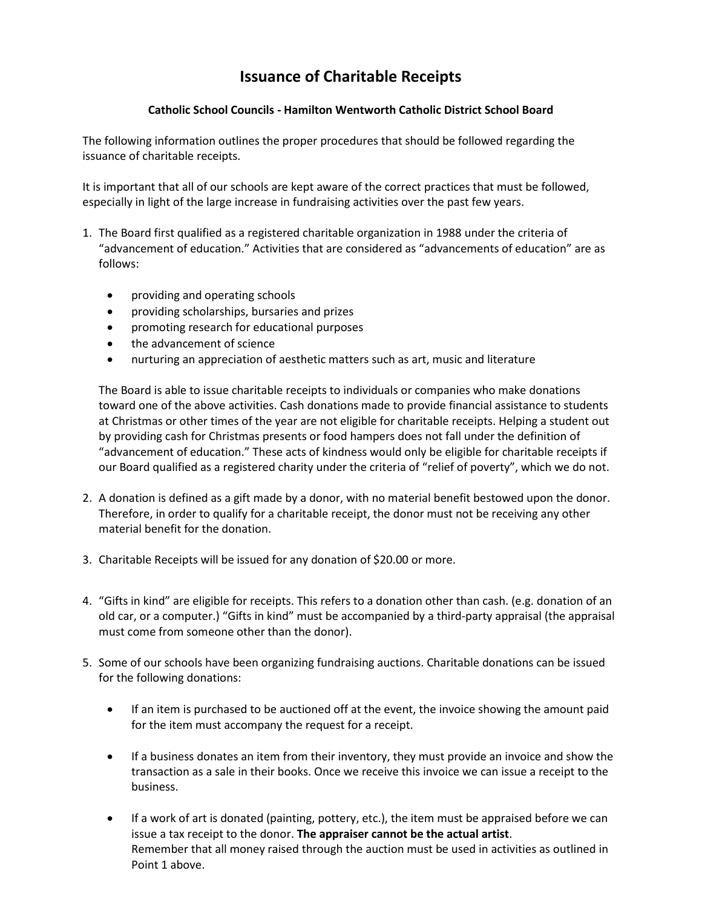## **Issuance of Charitable Receipts**

## **Catholic School Councils - Hamilton Wentworth Catholic District School Board**

The following information outlines the proper procedures that should be followed regarding the issuance of charitable receipts.

It is important that all of our schools are kept aware of the correct practices that must be followed, especially in light of the large increase in fundraising activities over the past few years.

- 1. The Board first qualified as a registered charitable organization in 1988 under the criteria of "advancement of education." Activities that are considered as "advancements of education" are as follows:
	- providing and operating schools
	- providing scholarships, bursaries and prizes
	- promoting research for educational purposes
	- the advancement of science
	- nurturing an appreciation of aesthetic matters such as art, music and literature

The Board is able to issue charitable receipts to individuals or companies who make donations toward one of the above activities. Cash donations made to provide financial assistance to students at Christmas or other times of the year are not eligible for charitable receipts. Helping a student out by providing cash for Christmas presents or food hampers does not fall under the definition of "advancement of education." These acts of kindness would only be eligible for charitable receipts if our Board qualified as a registered charity under the criteria of "relief of poverty", which we do not.

- 2. A donation is defined as a gift made by a donor, with no material benefit bestowed upon the donor. Therefore, in order to qualify for a charitable receipt, the donor must not be receiving any other material benefit for the donation.
- 3. Charitable Receipts will be issued for any donation of \$20.00 or more.
- 4. "Gifts in kind" are eligible for receipts. This refers to a donation other than cash. (e.g. donation of an old car, or a computer.) "Gifts in kind" must be accompanied by a third-party appraisal (the appraisal must come from someone other than the donor).
- 5. Some of our schools have been organizing fundraising auctions. Charitable donations can be issued for the following donations:
	- If an item is purchased to be auctioned off at the event, the invoice showing the amount paid for the item must accompany the request for a receipt.
	- If a business donates an item from their inventory, they must provide an invoice and show the transaction as a sale in their books. Once we receive this invoice we can issue a receipt to the business.
	- If a work of art is donated (painting, pottery, etc.), the item must be appraised before we can issue a tax receipt to the donor. **The appraiser cannot be the actual artist**. Remember that all money raised through the auction must be used in activities as outlined in Point 1 above.